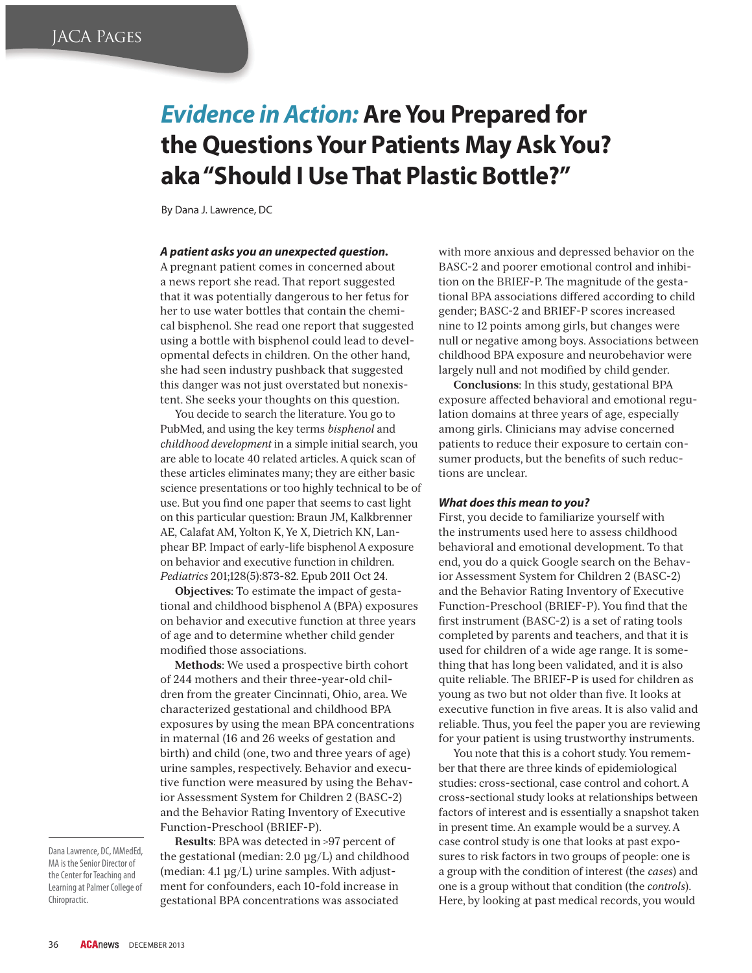# *Evidence in Action:* **Are You Prepared for the Questions Your Patients May Ask You? aka "Should I Use That Plastic Bottle?"**

By Dana J. Lawrence, DC

#### *A patient asks you an unexpected question.*

A pregnant patient comes in concerned about a news report she read. That report suggested that it was potentially dangerous to her fetus for her to use water bottles that contain the chemical bisphenol. She read one report that suggested using a bottle with bisphenol could lead to developmental defects in children. On the other hand, she had seen industry pushback that suggested this danger was not just overstated but nonexistent. She seeks your thoughts on this question.

You decide to search the literature. You go to PubMed, and using the key terms *bisphenol* and *childhood development* in a simple initial search, you are able to locate 40 related articles. A quick scan of these articles eliminates many; they are either basic science presentations or too highly technical to be of use. But you find one paper that seems to cast light on this particular question: Braun JM, Kalkbrenner AE, Calafat AM, Yolton K, Ye X, Dietrich KN, Lanphear BP. Impact of early-life bisphenol A exposure on behavior and executive function in children. *Pediatrics* 201;128(5):873-82. Epub 2011 Oct 24.

**Objectives:** To estimate the impact of gestational and childhood bisphenol A (BPA) exposures on behavior and executive function at three years of age and to determine whether child gender modified those associations.

**Methods**: We used a prospective birth cohort of 244 mothers and their three-year-old children from the greater Cincinnati, Ohio, area. We characterized gestational and childhood BPA exposures by using the mean BPA concentrations in maternal (16 and 26 weeks of gestation and birth) and child (one, two and three years of age) urine samples, respectively. Behavior and executive function were measured by using the Behavior Assessment System for Children 2 (BASC-2) and the Behavior Rating Inventory of Executive Function-Preschool (BRIEF-P).

Dana Lawrence, DC, MMedEd, MA is the Senior Director of the Center for Teaching and Learning at Palmer College of Chiropractic.

**Results**: BPA was detected in >97 percent of the gestational (median: 2.0 μg/L) and childhood (median: 4.1 μg/L) urine samples. With adjustment for confounders, each 10-fold increase in gestational BPA concentrations was associated

with more anxious and depressed behavior on the BASC-2 and poorer emotional control and inhibition on the BRIEF-P. The magnitude of the gestational BPA associations differed according to child gender; BASC-2 and BRIEF-P scores increased nine to 12 points among girls, but changes were null or negative among boys. Associations between childhood BPA exposure and neurobehavior were largely null and not modified by child gender.

**Conclusions**: In this study, gestational BPA exposure affected behavioral and emotional regulation domains at three years of age, especially among girls. Clinicians may advise concerned patients to reduce their exposure to certain consumer products, but the benefits of such reductions are unclear.

#### *What does this mean to you?*

First, you decide to familiarize yourself with the instruments used here to assess childhood behavioral and emotional development. To that end, you do a quick Google search on the Behavior Assessment System for Children 2 (BASC-2) and the Behavior Rating Inventory of Executive Function-Preschool (BRIEF-P). You find that the first instrument (BASC-2) is a set of rating tools completed by parents and teachers, and that it is used for children of a wide age range. It is something that has long been validated, and it is also quite reliable. The BRIEF-P is used for children as young as two but not older than five. It looks at executive function in five areas. It is also valid and reliable. Thus, you feel the paper you are reviewing for your patient is using trustworthy instruments.

You note that this is a cohort study. You remember that there are three kinds of epidemiological studies: cross-sectional, case control and cohort. A cross-sectional study looks at relationships between factors of interest and is essentially a snapshot taken in present time. An example would be a survey. A case control study is one that looks at past exposures to risk factors in two groups of people: one is a group with the condition of interest (the *cases*) and one is a group without that condition (the *controls*). Here, by looking at past medical records, you would